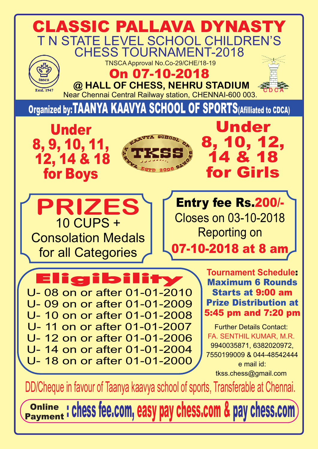